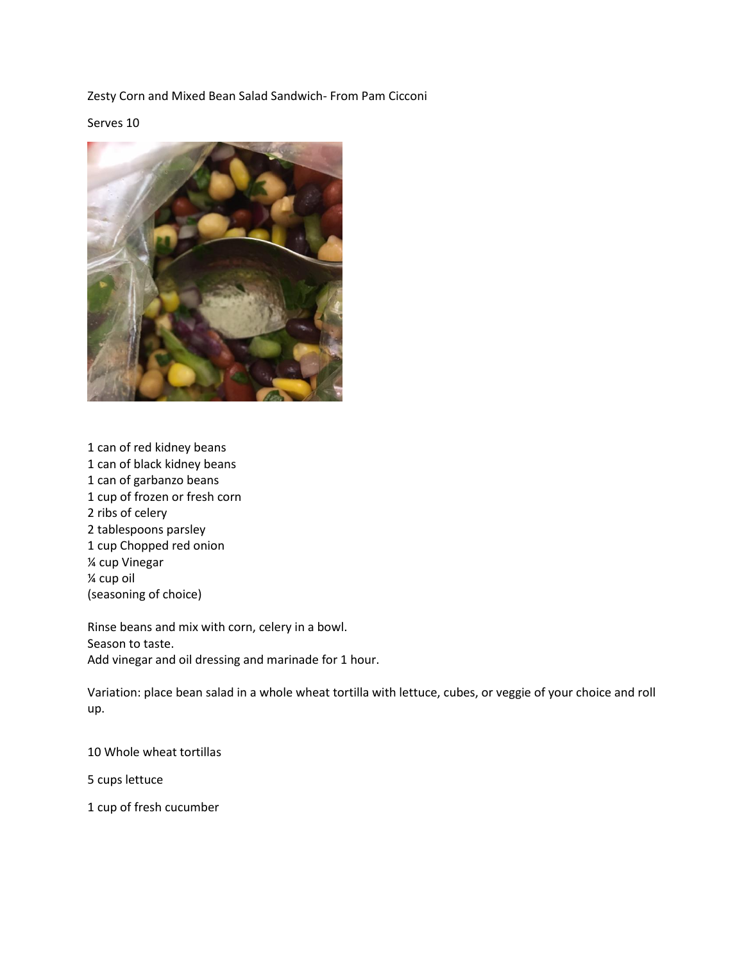Zesty Corn and Mixed Bean Salad Sandwich- From Pam Cicconi

## Serves 10



1 can of red kidney beans 1 can of black kidney beans 1 can of garbanzo beans 1 cup of frozen or fresh corn 2 ribs of celery 2 tablespoons parsley 1 cup Chopped red onion ¼ cup Vinegar ¼ cup oil (seasoning of choice)

Rinse beans and mix with corn, celery in a bowl. Season to taste. Add vinegar and oil dressing and marinade for 1 hour.

Variation: place bean salad in a whole wheat tortilla with lettuce, cubes, or veggie of your choice and roll up.

10 Whole wheat tortillas

5 cups lettuce

1 cup of fresh cucumber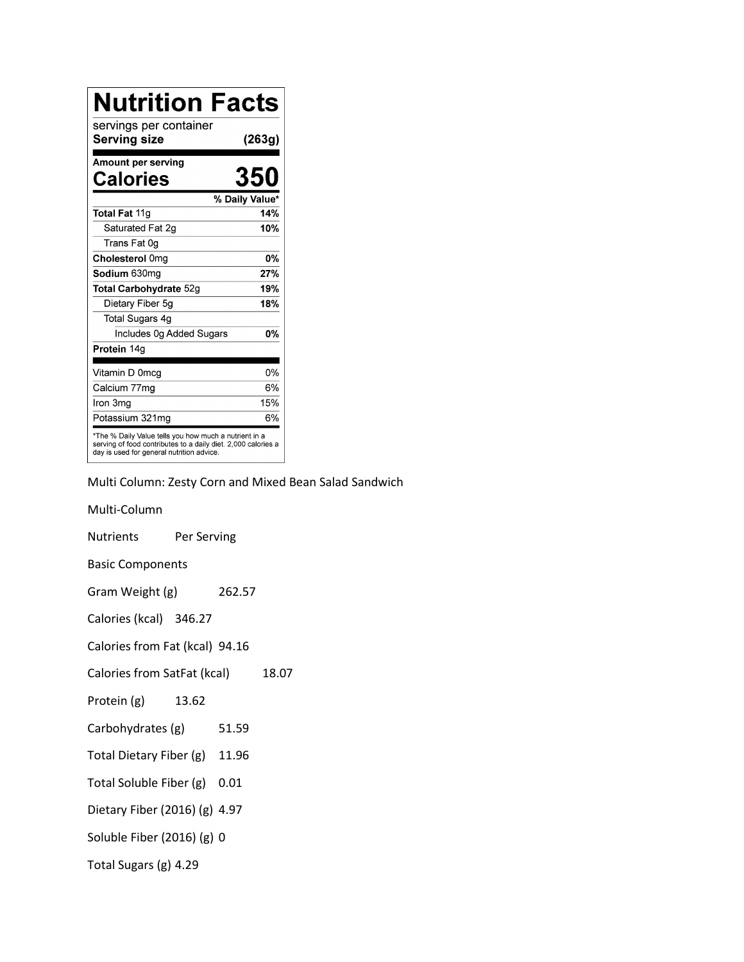| <b>Nutrition Facts</b>                                                                                                                                              |                |
|---------------------------------------------------------------------------------------------------------------------------------------------------------------------|----------------|
| servings per container<br>Serving size                                                                                                                              | (263g)         |
| Amount per serving<br><b>Calories</b>                                                                                                                               | 350            |
|                                                                                                                                                                     | % Daily Value* |
| Total Fat 11g                                                                                                                                                       | 14%            |
| Saturated Fat 2q                                                                                                                                                    | 10%            |
| Trans Fat 0g                                                                                                                                                        |                |
| Cholesterol 0mg                                                                                                                                                     | <b>0%</b>      |
| Sodium 630mg                                                                                                                                                        | 27%            |
| Total Carbohydrate 52g                                                                                                                                              | 19%            |
| Dietary Fiber 5g                                                                                                                                                    | 18%            |
| <b>Total Sugars 4g</b>                                                                                                                                              |                |
| Includes 0g Added Sugars                                                                                                                                            | 0%             |
| Protein 14g                                                                                                                                                         |                |
| Vitamin D 0mcg                                                                                                                                                      | 0%             |
| Calcium 77mg                                                                                                                                                        | 6%             |
| Iron 3ma                                                                                                                                                            | 15%            |
| Potassium 321mq                                                                                                                                                     | 6%             |
| *The % Daily Value tells you how much a nutrient in a<br>serving of food contributes to a daily diet. 2,000 calories a<br>day is used for general nutrition advice. |                |

Multi Column: Zesty Corn and Mixed Bean Salad Sandwich

Multi-Column Nutrients Per Serving Basic Components Gram Weight (g) 262.57 Calories (kcal) 346.27 Calories from Fat (kcal) 94.16 Calories from SatFat (kcal) 18.07 Protein (g) 13.62 Carbohydrates (g) 51.59 Total Dietary Fiber (g) 11.96 Total Soluble Fiber (g) 0.01 Dietary Fiber (2016) (g) 4.97 Soluble Fiber (2016) (g) 0 Total Sugars (g) 4.29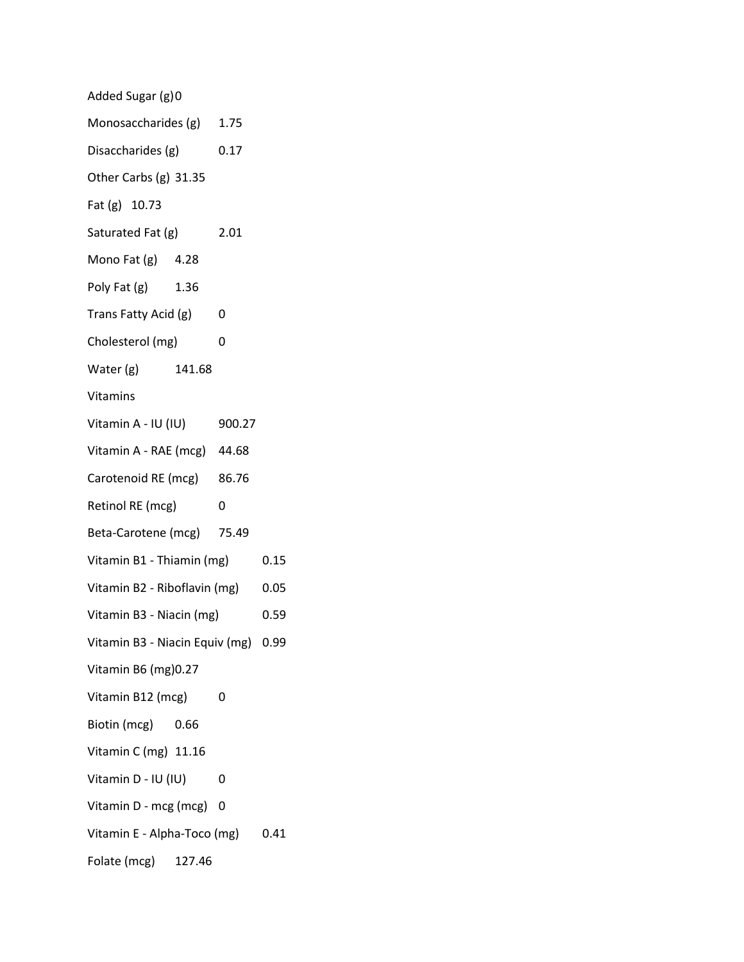| Added Sugar (g)0                             |      |      |      |
|----------------------------------------------|------|------|------|
| Monosaccharides (g) 1.75                     |      |      |      |
| Disaccharides (g)                            | 0.17 |      |      |
| Other Carbs (g) 31.35                        |      |      |      |
| Fat (g) 10.73                                |      |      |      |
| Saturated Fat (g)                            |      | 2.01 |      |
| Mono Fat (g) 4.28                            |      |      |      |
| Poly Fat (g) 1.36                            |      |      |      |
| Trans Fatty Acid (g) 0                       |      |      |      |
| Cholesterol (mg)                             |      | 0    |      |
| Water (g) 141.68                             |      |      |      |
| Vitamins                                     |      |      |      |
| Vitamin A - IU (IU) 900.27                   |      |      |      |
| Vitamin A - RAE (mcg) 44.68                  |      |      |      |
| Carotenoid RE (mcg) 86.76                    |      |      |      |
| Retinol RE (mcg)<br>$\overline{\phantom{0}}$ |      |      |      |
| Beta-Carotene (mcg) 75.49                    |      |      |      |
| Vitamin B1 - Thiamin (mg)                    |      | 0.15 |      |
| Vitamin B2 - Riboflavin (mg) 0.05            |      |      |      |
| Vitamin B3 - Niacin (mg)                     |      | 0.59 |      |
| Vitamin B3 - Niacin Equiv (mg) 0.99          |      |      |      |
| Vitamin B6 (mg) 0.27                         |      |      |      |
| Vitamin B12 (mcg)                            |      | 0    |      |
| Biotin (mcg) 0.66                            |      |      |      |
| Vitamin C (mg) 11.16                         |      |      |      |
| Vitamin D - IU (IU)                          |      | 0    |      |
| Vitamin D - mcg (mcg)                        |      | 0    |      |
| Vitamin E - Alpha-Toco (mg)                  |      |      | 0.41 |
| Folate (mcg) 127.46                          |      |      |      |